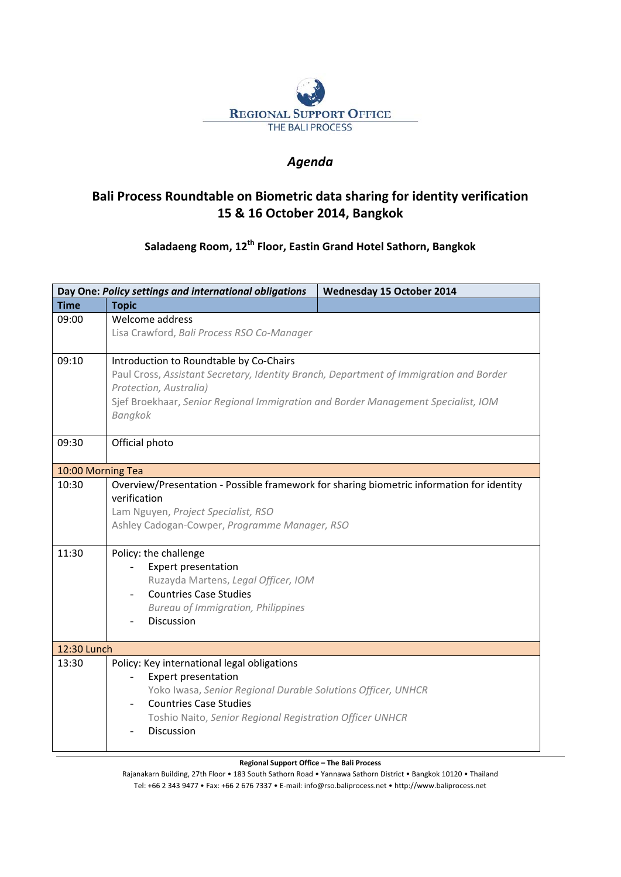

## *Agenda*

## **Bali Process Roundtable on Biometric data sharing for identity verification 15 & 16 October 2014, Bangkok**

## **Saladaeng Room, 12th Floor, Eastin Grand Hotel Sathorn, Bangkok**

|                   | Day One: Policy settings and international obligations                                                                                                                                            | <b>Wednesday 15 October 2014</b> |  |  |
|-------------------|---------------------------------------------------------------------------------------------------------------------------------------------------------------------------------------------------|----------------------------------|--|--|
| <b>Time</b>       | <b>Topic</b>                                                                                                                                                                                      |                                  |  |  |
| 09:00             | Welcome address                                                                                                                                                                                   |                                  |  |  |
|                   | Lisa Crawford, Bali Process RSO Co-Manager                                                                                                                                                        |                                  |  |  |
| 09:10             | Introduction to Roundtable by Co-Chairs                                                                                                                                                           |                                  |  |  |
|                   | Paul Cross, Assistant Secretary, Identity Branch, Department of Immigration and Border                                                                                                            |                                  |  |  |
|                   | Protection, Australia)                                                                                                                                                                            |                                  |  |  |
|                   | Sjef Broekhaar, Senior Regional Immigration and Border Management Specialist, IOM<br>Bangkok                                                                                                      |                                  |  |  |
| 09:30             | Official photo                                                                                                                                                                                    |                                  |  |  |
| 10:00 Morning Tea |                                                                                                                                                                                                   |                                  |  |  |
| 10:30             | Overview/Presentation - Possible framework for sharing biometric information for identity<br>verification<br>Lam Nguyen, Project Specialist, RSO<br>Ashley Cadogan-Cowper, Programme Manager, RSO |                                  |  |  |
| 11:30             | Policy: the challenge                                                                                                                                                                             |                                  |  |  |
|                   | <b>Expert presentation</b>                                                                                                                                                                        |                                  |  |  |
|                   | Ruzayda Martens, Legal Officer, IOM                                                                                                                                                               |                                  |  |  |
|                   | <b>Countries Case Studies</b><br><b>Bureau of Immigration, Philippines</b>                                                                                                                        |                                  |  |  |
|                   | Discussion                                                                                                                                                                                        |                                  |  |  |
|                   |                                                                                                                                                                                                   |                                  |  |  |
| 12:30 Lunch       |                                                                                                                                                                                                   |                                  |  |  |
| 13:30             | Policy: Key international legal obligations                                                                                                                                                       |                                  |  |  |
|                   | <b>Expert presentation</b><br>$\bar{\phantom{a}}$                                                                                                                                                 |                                  |  |  |
|                   | Yoko Iwasa, Senior Regional Durable Solutions Officer, UNHCR                                                                                                                                      |                                  |  |  |
|                   | <b>Countries Case Studies</b>                                                                                                                                                                     |                                  |  |  |
|                   | Toshio Naito, Senior Regional Registration Officer UNHCR<br>Discussion                                                                                                                            |                                  |  |  |
|                   |                                                                                                                                                                                                   |                                  |  |  |

**Regional Support Office – The Bali Process**

Rajanakarn Building, 27th Floor • 183 South Sathorn Road • Yannawa Sathorn District • Bangkok 10120 • Thailand Tel: +66 2 343 9477 • Fax: +66 2 676 7337 • E‐mail: info@rso.baliprocess.net • http://www.baliprocess.net